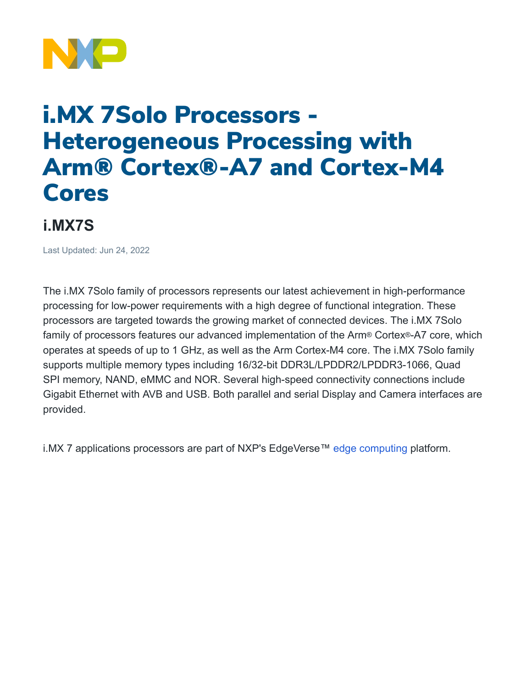

## i.MX 7Solo Processors - Heterogeneous Processing with Arm® Cortex®-A7 and Cortex-M4 Cores

## **i.MX7S**

Last Updated: Jun 24, 2022

The i.MX 7Solo family of processors represents our latest achievement in high-performance processing for low-power requirements with a high degree of functional integration. These processors are targeted towards the growing market of connected devices. The i.MX 7Solo family of processors features our advanced implementation of the Arm® Cortex®-A7 core, which operates at speeds of up to 1 GHz, as well as the Arm Cortex-M4 core. The i.MX 7Solo family supports multiple memory types including 16/32-bit DDR3L/LPDDR2/LPDDR3-1066, Quad SPI memory, NAND, eMMC and NOR. Several high-speed connectivity connections include Gigabit Ethernet with AVB and USB. Both parallel and serial Display and Camera interfaces are provided.

i.MX 7 applications processors are part of NXP's EdgeVerse™ [edge computing](https://www.nxp.com/applications/enabling-technologies/edge-computing:EDGE-COMPUTING) platform.